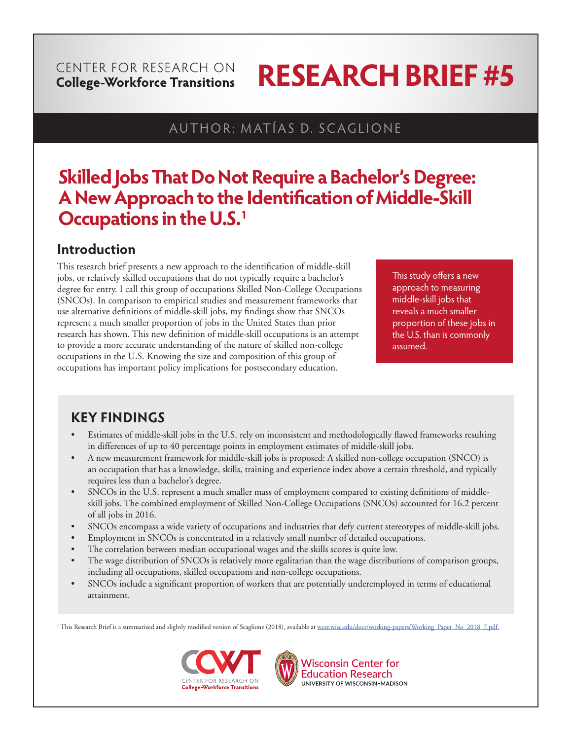#### CENTER FOR RESEARCH ON **College-Workforce Transitions**

# **RESEARCH BRIEF #5**

## AUTHOR: MATÍAS D. SCAGLIONE

## **Skilled Jobs That Do Not Require a Bachelor's Degree: A New Approach to the Identification of Middle-Skill Occupations in the U.S.1**

## **Introduction**

This research brief presents a new approach to the identification of middle-skill jobs, or relatively skilled occupations that do not typically require a bachelor's degree for entry. I call this group of occupations Skilled Non-College Occupations (SNCOs). In comparison to empirical studies and measurement frameworks that use alternative definitions of middle-skill jobs, my findings show that SNCOs represent a much smaller proportion of jobs in the United States than prior research has shown. This new definition of middle-skill occupations is an attempt to provide a more accurate understanding of the nature of skilled non-college occupations in the U.S. Knowing the size and composition of this group of occupations has important policy implications for postsecondary education.

This study offers a new approach to measuring middle-skill jobs that reveals a much smaller proportion of these jobs in the U.S. than is commonly assumed.

## **KEY FINDINGS**

- Estimates of middle-skill jobs in the U.S. rely on inconsistent and methodologically flawed frameworks resulting in differences of up to 40 percentage points in employment estimates of middle-skill jobs.
- A new measurement framework for middle-skill jobs is proposed: A skilled non-college occupation (SNCO) is an occupation that has a knowledge, skills, training and experience index above a certain threshold, and typically requires less than a bachelor's degree.
- SNCOs in the U.S. represent a much smaller mass of employment compared to existing definitions of middleskill jobs. The combined employment of Skilled Non-College Occupations (SNCOs) accounted for 16.2 percent of all jobs in 2016.
- SNCOs encompass a wide variety of occupations and industries that defy current stereotypes of middle-skill jobs.
- Employment in SNCOs is concentrated in a relatively small number of detailed occupations.
- The correlation between median occupational wages and the skills scores is quite low.
- The wage distribution of SNCOs is relatively more egalitarian than the wage distributions of comparison groups, including all occupations, skilled occupations and non-college occupations.
- SNCOs include a significant proportion of workers that are potentially underemployed in terms of educational attainment.

<sup>1</sup> This Research Brief is a summarized and slightly modified version of Scaglione (2018), available at <u>wcer.wisc.edu/docs/working-papers/Working\_Paper\_No\_2018\_7.pdf.</u>





**Wisconsin Center for Education Research** UNIVERSITY OF WISCONSIN-MADISON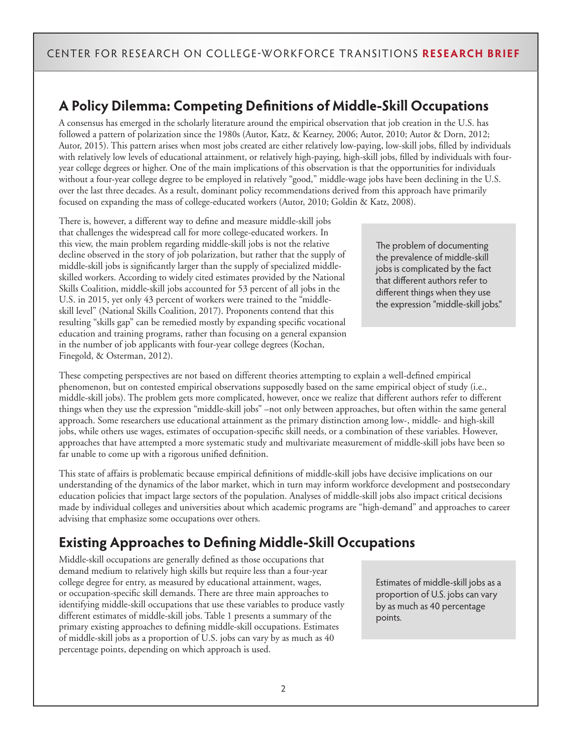## **A Policy Dilemma: Competing Definitions of Middle-Skill Occupations**

A consensus has emerged in the scholarly literature around the empirical observation that job creation in the U.S. has followed a pattern of polarization since the 1980s (Autor, Katz, & Kearney, 2006; Autor, 2010; Autor & Dorn, 2012; Autor, 2015). This pattern arises when most jobs created are either relatively low-paying, low-skill jobs, filled by individuals with relatively low levels of educational attainment, or relatively high-paying, high-skill jobs, filled by individuals with fouryear college degrees or higher. One of the main implications of this observation is that the opportunities for individuals without a four-year college degree to be employed in relatively "good," middle-wage jobs have been declining in the U.S. over the last three decades. As a result, dominant policy recommendations derived from this approach have primarily focused on expanding the mass of college-educated workers (Autor, 2010; Goldin & Katz, 2008).

There is, however, a different way to define and measure middle-skill jobs that challenges the widespread call for more college-educated workers. In this view, the main problem regarding middle-skill jobs is not the relative decline observed in the story of job polarization, but rather that the supply of middle-skill jobs is significantly larger than the supply of specialized middleskilled workers. According to widely cited estimates provided by the National Skills Coalition, middle-skill jobs accounted for 53 percent of all jobs in the U.S. in 2015, yet only 43 percent of workers were trained to the "middleskill level" (National Skills Coalition, 2017). Proponents contend that this resulting "skills gap" can be remedied mostly by expanding specific vocational education and training programs, rather than focusing on a general expansion in the number of job applicants with four-year college degrees (Kochan, Finegold, & Osterman, 2012).

The problem of documenting the prevalence of middle-skill jobs is complicated by the fact that different authors refer to different things when they use the expression "middle-skill jobs."

These competing perspectives are not based on different theories attempting to explain a well-defined empirical phenomenon, but on contested empirical observations supposedly based on the same empirical object of study (i.e., middle-skill jobs). The problem gets more complicated, however, once we realize that different authors refer to different things when they use the expression "middle-skill jobs" –not only between approaches, but often within the same general approach. Some researchers use educational attainment as the primary distinction among low-, middle- and high-skill jobs, while others use wages, estimates of occupation-specific skill needs, or a combination of these variables. However, approaches that have attempted a more systematic study and multivariate measurement of middle-skill jobs have been so far unable to come up with a rigorous unified definition.

This state of affairs is problematic because empirical definitions of middle-skill jobs have decisive implications on our understanding of the dynamics of the labor market, which in turn may inform workforce development and postsecondary education policies that impact large sectors of the population. Analyses of middle-skill jobs also impact critical decisions made by individual colleges and universities about which academic programs are "high-demand" and approaches to career advising that emphasize some occupations over others.

## **Existing Approaches to Defining Middle-Skill Occupations**

Middle-skill occupations are generally defined as those occupations that demand medium to relatively high skills but require less than a four-year college degree for entry, as measured by educational attainment, wages, or occupation-specific skill demands. There are three main approaches to identifying middle-skill occupations that use these variables to produce vastly different estimates of middle-skill jobs. Table 1 presents a summary of the primary existing approaches to defining middle-skill occupations. Estimates of middle-skill jobs as a proportion of U.S. jobs can vary by as much as 40 percentage points, depending on which approach is used.

Estimates of middle-skill jobs as a proportion of U.S. jobs can vary by as much as 40 percentage points.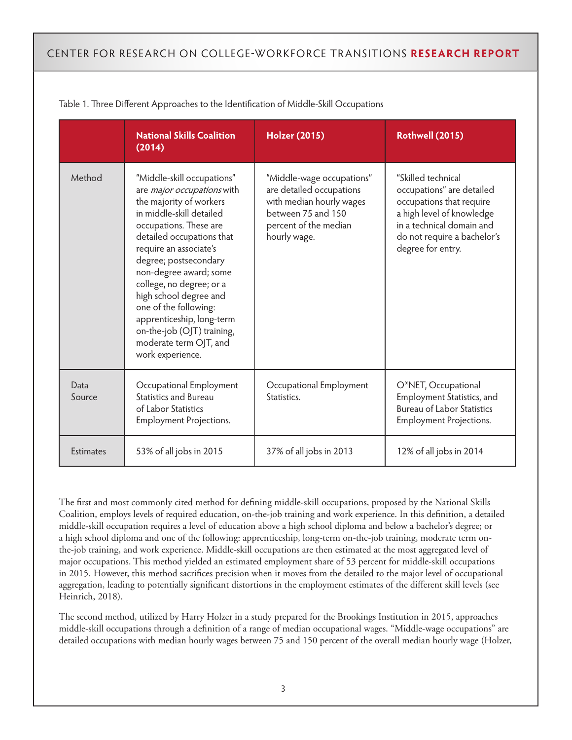|                  | <b>National Skills Coalition</b><br>(2014)                                                                                                                                                                                                                                                                                                                                                                                                  | <b>Holzer (2015)</b>                                                                                                                             | Rothwell (2015)                                                                                                                                                                           |
|------------------|---------------------------------------------------------------------------------------------------------------------------------------------------------------------------------------------------------------------------------------------------------------------------------------------------------------------------------------------------------------------------------------------------------------------------------------------|--------------------------------------------------------------------------------------------------------------------------------------------------|-------------------------------------------------------------------------------------------------------------------------------------------------------------------------------------------|
| Method           | "Middle-skill occupations"<br>are major occupations with<br>the majority of workers<br>in middle-skill detailed<br>occupations. These are<br>detailed occupations that<br>require an associate's<br>degree; postsecondary<br>non-degree award; some<br>college, no degree; or a<br>high school degree and<br>one of the following:<br>apprenticeship, long-term<br>on-the-job (OJT) training,<br>moderate term OJT, and<br>work experience. | "Middle-wage occupations"<br>are detailed occupations<br>with median hourly wages<br>between 75 and 150<br>percent of the median<br>hourly wage. | "Skilled technical<br>occupations" are detailed<br>occupations that require<br>a high level of knowledge<br>in a technical domain and<br>do not require a bachelor's<br>degree for entry. |
| Data<br>Source   | Occupational Employment<br><b>Statistics and Bureau</b><br>of Labor Statistics<br><b>Employment Projections.</b>                                                                                                                                                                                                                                                                                                                            | Occupational Employment<br>Statistics.                                                                                                           | O*NET, Occupational<br>Employment Statistics, and<br><b>Bureau of Labor Statistics</b><br>Employment Projections.                                                                         |
| <b>Estimates</b> | 53% of all jobs in 2015                                                                                                                                                                                                                                                                                                                                                                                                                     | 37% of all jobs in 2013                                                                                                                          | 12% of all jobs in 2014                                                                                                                                                                   |

Table 1. Three Different Approaches to the Identification of Middle-Skill Occupations

The first and most commonly cited method for defining middle-skill occupations, proposed by the National Skills Coalition, employs levels of required education, on-the-job training and work experience. In this definition, a detailed middle-skill occupation requires a level of education above a high school diploma and below a bachelor's degree; or a high school diploma and one of the following: apprenticeship, long-term on-the-job training, moderate term onthe-job training, and work experience. Middle-skill occupations are then estimated at the most aggregated level of major occupations. This method yielded an estimated employment share of 53 percent for middle-skill occupations in 2015. However, this method sacrifices precision when it moves from the detailed to the major level of occupational aggregation, leading to potentially significant distortions in the employment estimates of the different skill levels (see Heinrich, 2018).

The second method, utilized by Harry Holzer in a study prepared for the Brookings Institution in 2015, approaches middle-skill occupations through a definition of a range of median occupational wages. "Middle-wage occupations" are detailed occupations with median hourly wages between 75 and 150 percent of the overall median hourly wage (Holzer,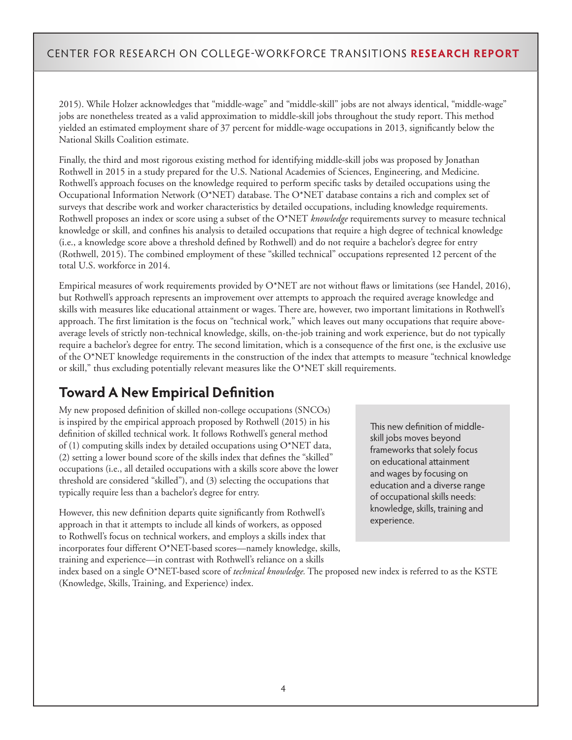2015). While Holzer acknowledges that "middle-wage" and "middle-skill" jobs are not always identical, "middle-wage" jobs are nonetheless treated as a valid approximation to middle-skill jobs throughout the study report. This method yielded an estimated employment share of 37 percent for middle-wage occupations in 2013, significantly below the National Skills Coalition estimate.

Finally, the third and most rigorous existing method for identifying middle-skill jobs was proposed by Jonathan Rothwell in 2015 in a study prepared for the U.S. National Academies of Sciences, Engineering, and Medicine. Rothwell's approach focuses on the knowledge required to perform specific tasks by detailed occupations using the Occupational Information Network (O\*NET) database. The O\*NET database contains a rich and complex set of surveys that describe work and worker characteristics by detailed occupations, including knowledge requirements. Rothwell proposes an index or score using a subset of the O\*NET *knowledge* requirements survey to measure technical knowledge or skill, and confines his analysis to detailed occupations that require a high degree of technical knowledge (i.e., a knowledge score above a threshold defined by Rothwell) and do not require a bachelor's degree for entry (Rothwell, 2015). The combined employment of these "skilled technical" occupations represented 12 percent of the total U.S. workforce in 2014.

Empirical measures of work requirements provided by O\*NET are not without flaws or limitations (see Handel, 2016), but Rothwell's approach represents an improvement over attempts to approach the required average knowledge and skills with measures like educational attainment or wages. There are, however, two important limitations in Rothwell's approach. The first limitation is the focus on "technical work," which leaves out many occupations that require aboveaverage levels of strictly non-technical knowledge, skills, on-the-job training and work experience, but do not typically require a bachelor's degree for entry. The second limitation, which is a consequence of the first one, is the exclusive use of the O\*NET knowledge requirements in the construction of the index that attempts to measure "technical knowledge or skill," thus excluding potentially relevant measures like the O\*NET skill requirements.

## **Toward A New Empirical Definition**

My new proposed definition of skilled non-college occupations (SNCOs) is inspired by the empirical approach proposed by Rothwell (2015) in his definition of skilled technical work. It follows Rothwell's general method of  $(1)$  computing skills index by detailed occupations using O\*NET data, (2) setting a lower bound score of the skills index that defines the "skilled" occupations (i.e., all detailed occupations with a skills score above the lower threshold are considered "skilled"), and (3) selecting the occupations that typically require less than a bachelor's degree for entry.

However, this new definition departs quite significantly from Rothwell's approach in that it attempts to include all kinds of workers, as opposed to Rothwell's focus on technical workers, and employs a skills index that incorporates four different O\*NET-based scores—namely knowledge, skills, training and experience—in contrast with Rothwell's reliance on a skills

This new definition of middleskill jobs moves beyond frameworks that solely focus on educational attainment and wages by focusing on education and a diverse range of occupational skills needs: knowledge, skills, training and experience.

index based on a single O\*NET-based score of *technical knowledge.* The proposed new index is referred to as the KSTE (Knowledge, Skills, Training, and Experience) index.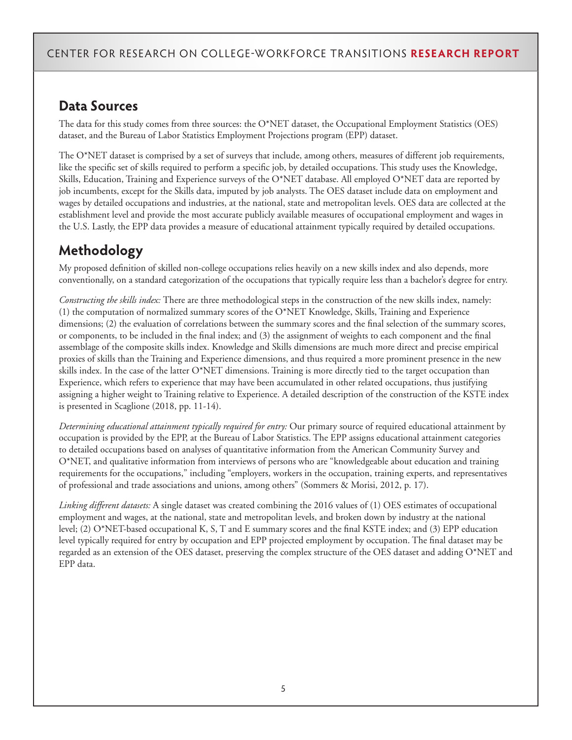## **Data Sources**

The data for this study comes from three sources: the O\*NET dataset, the Occupational Employment Statistics (OES) dataset, and the Bureau of Labor Statistics Employment Projections program (EPP) dataset.

The O\*NET dataset is comprised by a set of surveys that include, among others, measures of different job requirements, like the specific set of skills required to perform a specific job, by detailed occupations. This study uses the Knowledge, Skills, Education, Training and Experience surveys of the O\*NET database. All employed O\*NET data are reported by job incumbents, except for the Skills data, imputed by job analysts. The OES dataset include data on employment and wages by detailed occupations and industries, at the national, state and metropolitan levels. OES data are collected at the establishment level and provide the most accurate publicly available measures of occupational employment and wages in the U.S. Lastly, the EPP data provides a measure of educational attainment typically required by detailed occupations.

## **Methodology**

My proposed definition of skilled non-college occupations relies heavily on a new skills index and also depends, more conventionally, on a standard categorization of the occupations that typically require less than a bachelor's degree for entry.

*Constructing the skills index:* There are three methodological steps in the construction of the new skills index, namely: (1) the computation of normalized summary scores of the O\*NET Knowledge, Skills, Training and Experience dimensions; (2) the evaluation of correlations between the summary scores and the final selection of the summary scores, or components, to be included in the final index; and (3) the assignment of weights to each component and the final assemblage of the composite skills index. Knowledge and Skills dimensions are much more direct and precise empirical proxies of skills than the Training and Experience dimensions, and thus required a more prominent presence in the new skills index. In the case of the latter O\*NET dimensions. Training is more directly tied to the target occupation than Experience, which refers to experience that may have been accumulated in other related occupations, thus justifying assigning a higher weight to Training relative to Experience. A detailed description of the construction of the KSTE index is presented in Scaglione (2018, pp. 11-14).

*Determining educational attainment typically required for entry:* Our primary source of required educational attainment by occupation is provided by the EPP, at the Bureau of Labor Statistics. The EPP assigns educational attainment categories to detailed occupations based on analyses of quantitative information from the American Community Survey and O\*NET, and qualitative information from interviews of persons who are "knowledgeable about education and training requirements for the occupations," including "employers, workers in the occupation, training experts, and representatives of professional and trade associations and unions, among others" (Sommers & Morisi, 2012, p. 17).

*Linking different datasets:* A single dataset was created combining the 2016 values of (1) OES estimates of occupational employment and wages, at the national, state and metropolitan levels, and broken down by industry at the national level; (2) O\*NET-based occupational K, S, T and E summary scores and the final KSTE index; and (3) EPP education level typically required for entry by occupation and EPP projected employment by occupation. The final dataset may be regarded as an extension of the OES dataset, preserving the complex structure of the OES dataset and adding O\*NET and EPP data.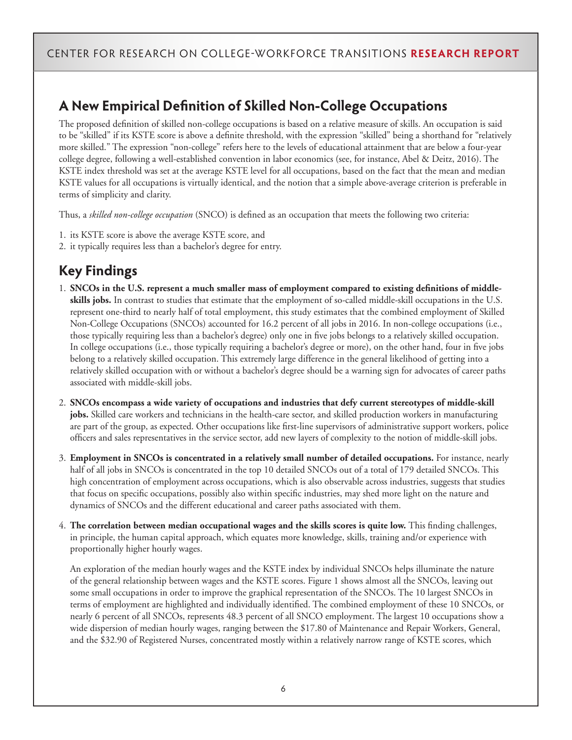### **A New Empirical Definition of Skilled Non-College Occupations**

The proposed definition of skilled non-college occupations is based on a relative measure of skills. An occupation is said to be "skilled" if its KSTE score is above a definite threshold, with the expression "skilled" being a shorthand for "relatively more skilled." The expression "non-college" refers here to the levels of educational attainment that are below a four-year college degree, following a well-established convention in labor economics (see, for instance, Abel & Deitz, 2016). The KSTE index threshold was set at the average KSTE level for all occupations, based on the fact that the mean and median KSTE values for all occupations is virtually identical, and the notion that a simple above-average criterion is preferable in terms of simplicity and clarity.

Thus, a *skilled non-college occupation* (SNCO) is defined as an occupation that meets the following two criteria:

- 1. its KSTE score is above the average KSTE score, and
- 2. it typically requires less than a bachelor's degree for entry.

## **Key Findings**

- 1. **SNCOs in the U.S. represent a much smaller mass of employment compared to existing definitions of middleskills jobs.** In contrast to studies that estimate that the employment of so-called middle-skill occupations in the U.S. represent one-third to nearly half of total employment, this study estimates that the combined employment of Skilled Non-College Occupations (SNCOs) accounted for 16.2 percent of all jobs in 2016. In non-college occupations (i.e., those typically requiring less than a bachelor's degree) only one in five jobs belongs to a relatively skilled occupation. In college occupations (i.e., those typically requiring a bachelor's degree or more), on the other hand, four in five jobs belong to a relatively skilled occupation. This extremely large difference in the general likelihood of getting into a relatively skilled occupation with or without a bachelor's degree should be a warning sign for advocates of career paths associated with middle-skill jobs.
- 2. **SNCOs encompass a wide variety of occupations and industries that defy current stereotypes of middle-skill jobs.** Skilled care workers and technicians in the health-care sector, and skilled production workers in manufacturing are part of the group, as expected. Other occupations like first-line supervisors of administrative support workers, police officers and sales representatives in the service sector, add new layers of complexity to the notion of middle-skill jobs.
- 3. **Employment in SNCOs is concentrated in a relatively small number of detailed occupations.** For instance, nearly half of all jobs in SNCOs is concentrated in the top 10 detailed SNCOs out of a total of 179 detailed SNCOs. This high concentration of employment across occupations, which is also observable across industries, suggests that studies that focus on specific occupations, possibly also within specific industries, may shed more light on the nature and dynamics of SNCOs and the different educational and career paths associated with them.
- 4. **The correlation between median occupational wages and the skills scores is quite low.** This finding challenges, in principle, the human capital approach, which equates more knowledge, skills, training and/or experience with proportionally higher hourly wages.

An exploration of the median hourly wages and the KSTE index by individual SNCOs helps illuminate the nature of the general relationship between wages and the KSTE scores. Figure 1 shows almost all the SNCOs, leaving out some small occupations in order to improve the graphical representation of the SNCOs. The 10 largest SNCOs in terms of employment are highlighted and individually identified. The combined employment of these 10 SNCOs, or nearly 6 percent of all SNCOs, represents 48.3 percent of all SNCO employment. The largest 10 occupations show a wide dispersion of median hourly wages, ranging between the \$17.80 of Maintenance and Repair Workers, General, and the \$32.90 of Registered Nurses, concentrated mostly within a relatively narrow range of KSTE scores, which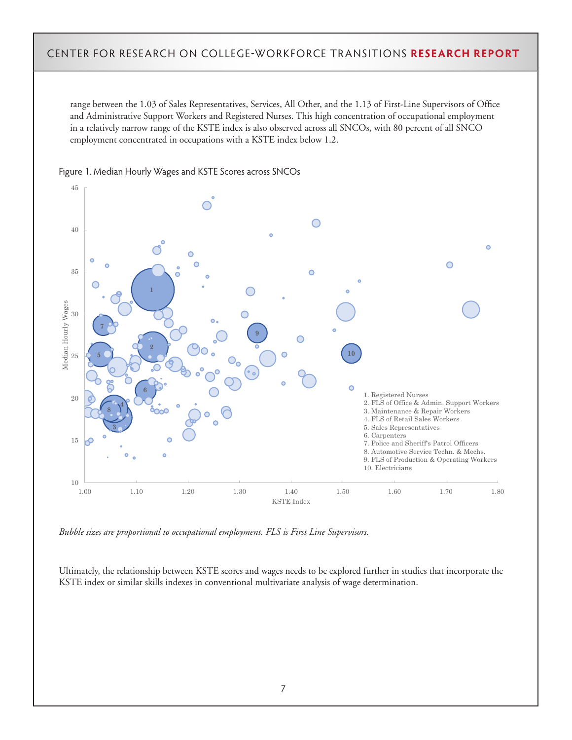range between the 1.03 of Sales Representatives, Services, All Other, and the 1.13 of First-Line Supervisors of Office and Administrative Support Workers and Registered Nurses. This high concentration of occupational employment in a relatively narrow range of the KSTE index is also observed across all SNCOs, with 80 percent of all SNCO employment concentrated in occupations with a KSTE index below 1.2.



Figure 1. Median Hourly Wages and KSTE Scores across SNCOs

*Bubble sizes are proportional to occupational employment. FLS is First Line Supervisors.*

Ultimately, the relationship between KSTE scores and wages needs to be explored further in studies that incorporate the KSTE index or similar skills indexes in conventional multivariate analysis of wage determination.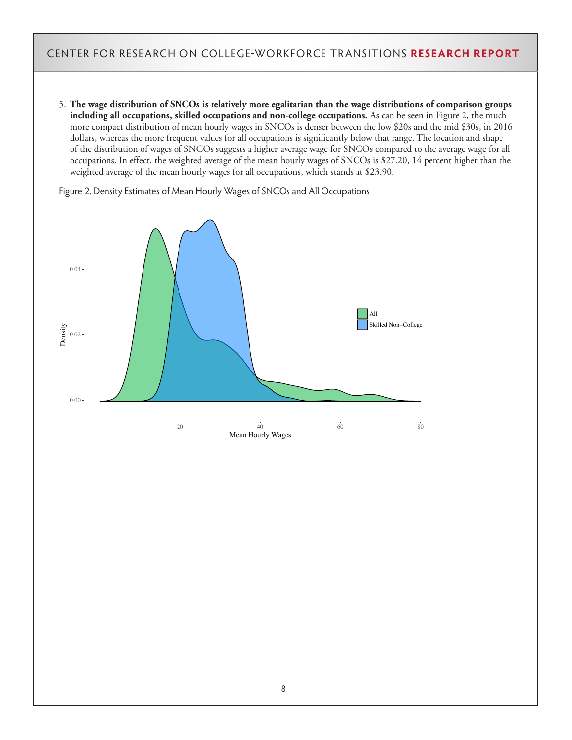5. **The wage distribution of SNCOs is relatively more egalitarian than the wage distributions of comparison groups including all occupations, skilled occupations and non-college occupations.** As can be seen in Figure 2, the much more compact distribution of mean hourly wages in SNCOs is denser between the low \$20s and the mid \$30s, in 2016 dollars, whereas the more frequent values for all occupations is significantly below that range. The location and shape of the distribution of wages of SNCOs suggests a higher average wage for SNCOs compared to the average wage for all occupations. In effect, the weighted average of the mean hourly wages of SNCOs is \$27.20, 14 percent higher than the weighted average of the mean hourly wages for all occupations, which stands at \$23.90.

0.00 0.02  $0.04 -$ 20 40 60 80 Mean Hourly Wages Density All Skilled Non−College

Figure 2. Density Estimates of Mean Hourly Wages of SNCOs and All Occupations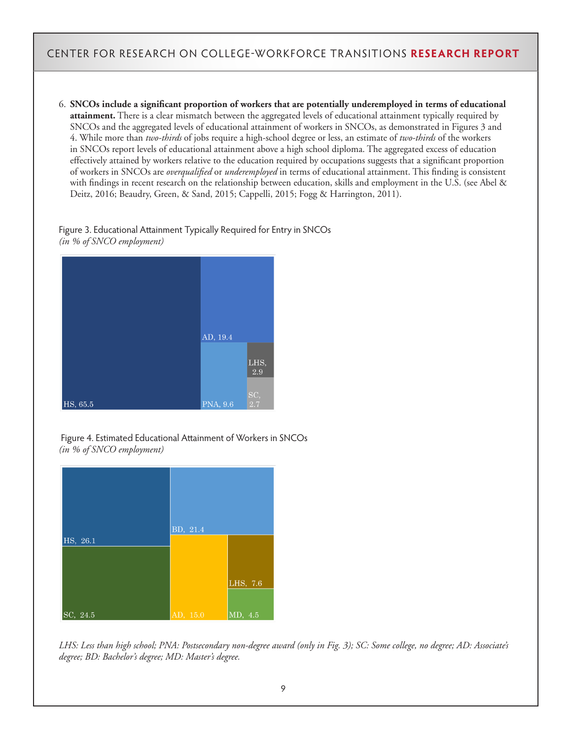6. **SNCOs include a significant proportion of workers that are potentially underemployed in terms of educational attainment.** There is a clear mismatch between the aggregated levels of educational attainment typically required by SNCOs and the aggregated levels of educational attainment of workers in SNCOs, as demonstrated in Figures 3 and 4. While more than *two-thirds* of jobs require a high-school degree or less, an estimate of *two-thirds* of the workers in SNCOs report levels of educational attainment above a high school diploma. The aggregated excess of education effectively attained by workers relative to the education required by occupations suggests that a significant proportion of workers in SNCOs are *overqualified* or *underemployed* in terms of educational attainment. This finding is consistent with findings in recent research on the relationship between education, skills and employment in the U.S. (see Abel & Deitz, 2016; Beaudry, Green, & Sand, 2015; Cappelli, 2015; Fogg & Harrington, 2011).

#### Figure 3. Educational Attainment Typically Required for Entry in SNCOs *(in % of SNCO employment)*



 Figure 4. Estimated Educational Attainment of Workers in SNCOs *(in % of SNCO employment)*



*LHS: Less than high school; PNA: Postsecondary non-degree award (only in Fig. 3); SC: Some college, no degree; AD: Associate's degree; BD: Bachelor's degree; MD: Master's degree.*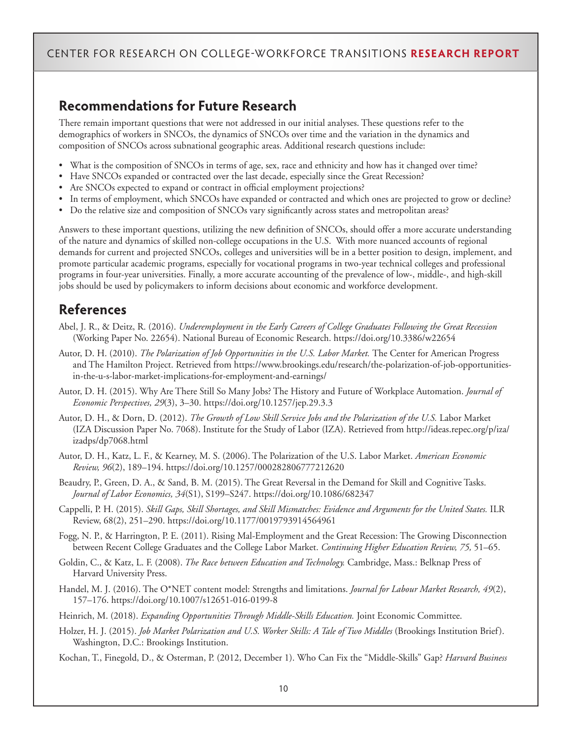#### **Recommendations for Future Research**

There remain important questions that were not addressed in our initial analyses. These questions refer to the demographics of workers in SNCOs, the dynamics of SNCOs over time and the variation in the dynamics and composition of SNCOs across subnational geographic areas. Additional research questions include:

- What is the composition of SNCOs in terms of age, sex, race and ethnicity and how has it changed over time?
- Have SNCOs expanded or contracted over the last decade, especially since the Great Recession?
- Are SNCOs expected to expand or contract in official employment projections?
- In terms of employment, which SNCOs have expanded or contracted and which ones are projected to grow or decline?
- Do the relative size and composition of SNCOs vary significantly across states and metropolitan areas?

Answers to these important questions, utilizing the new definition of SNCOs, should offer a more accurate understanding of the nature and dynamics of skilled non-college occupations in the U.S. With more nuanced accounts of regional demands for current and projected SNCOs, colleges and universities will be in a better position to design, implement, and promote particular academic programs, especially for vocational programs in two-year technical colleges and professional programs in four-year universities. Finally, a more accurate accounting of the prevalence of low-, middle-, and high-skill jobs should be used by policymakers to inform decisions about economic and workforce development.

#### **References**

- Abel, J. R., & Deitz, R. (2016). *Underemployment in the Early Careers of College Graduates Following the Great Recession* (Working Paper No. 22654). National Bureau of Economic Research. https://doi.org/10.3386/w22654
- Autor, D. H. (2010). *The Polarization of Job Opportunities in the U.S. Labor Market.* The Center for American Progress and The Hamilton Project. Retrieved from https://www.brookings.edu/research/the-polarization-of-job-opportunitiesin-the-u-s-labor-market-implications-for-employment-and-earnings/
- Autor, D. H. (2015). Why Are There Still So Many Jobs? The History and Future of Workplace Automation. *Journal of Economic Perspectives, 29*(3), 3–30. https://doi.org/10.1257/jep.29.3.3
- Autor, D. H., & Dorn, D. (2012). *The Growth of Low Skill Service Jobs and the Polarization of the U.S.* Labor Market (IZA Discussion Paper No. 7068). Institute for the Study of Labor (IZA). Retrieved from http://ideas.repec.org/p/iza/ izadps/dp7068.html
- Autor, D. H., Katz, L. F., & Kearney, M. S. (2006). The Polarization of the U.S. Labor Market. *American Economic Review, 96*(2), 189–194. https://doi.org/10.1257/000282806777212620
- Beaudry, P., Green, D. A., & Sand, B. M. (2015). The Great Reversal in the Demand for Skill and Cognitive Tasks. *Journal of Labor Economics, 34*(S1), S199–S247. https://doi.org/10.1086/682347
- Cappelli, P. H. (2015). *Skill Gaps, Skill Shortages, and Skill Mismatches: Evidence and Arguments for the United States.* ILR Review, 68(2), 251–290. https://doi.org/10.1177/0019793914564961
- Fogg, N. P., & Harrington, P. E. (2011). Rising Mal-Employment and the Great Recession: The Growing Disconnection between Recent College Graduates and the College Labor Market. *Continuing Higher Education Review, 75,* 51–65.
- Goldin, C., & Katz, L. F. (2008). *The Race between Education and Technology.* Cambridge, Mass.: Belknap Press of Harvard University Press.
- Handel, M. J. (2016). The O\*NET content model: Strengths and limitations. *Journal for Labour Market Research, 49*(2), 157–176. https://doi.org/10.1007/s12651-016-0199-8
- Heinrich, M. (2018). *Expanding Opportunities Through Middle-Skills Education*. Joint Economic Committee.
- Holzer, H. J. (2015). *Job Market Polarization and U.S. Worker Skills: A Tale of Two Middles* (Brookings Institution Brief). Washington, D.C.: Brookings Institution.

Kochan, T., Finegold, D., & Osterman, P. (2012, December 1). Who Can Fix the "Middle-Skills" Gap? *Harvard Business*